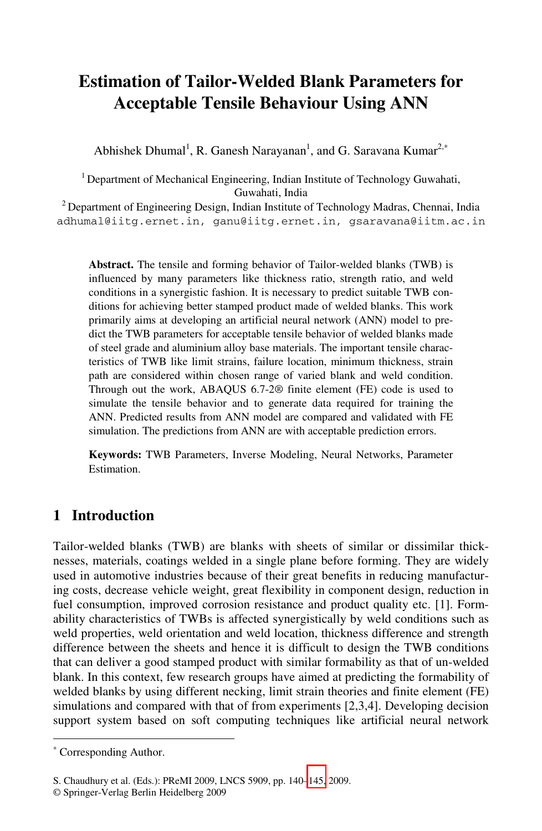# **Estimation of Tailor-Welded Blank Parameters for Acceptable Tensile Behaviour Using ANN**

Abhishek Dhumal<sup>1</sup>, R. Ganesh Narayanan<sup>1</sup>, and G. Saravana Kumar<sup>2,∗</sup>

<sup>1</sup> Department of Mechanical Engineering, Indian Institute of Technology Guwahati,

Guwahati, India 2 Department of Engineering Design, Indian Institute of Technology Madras, Chennai, India adhumal@iitg.ernet.in, ganu@iitg.ernet.in, gsaravana@iitm.ac.in

**Abstract.** The tensile and forming behavior of Tailor-welded blanks (TWB) is influenced by many parameters like thickness ratio, strength ratio, and weld conditions in a synergistic fashion. It is necessary to predict suitable TWB conditions for achieving better stamped product made of welded blanks. This work primarily aims at developing an artificial neural network (ANN) model to predict the TWB parameters for acceptable tensile behavior of welded blanks made of steel grade and aluminium alloy base materials. The important tensile characteristics of TWB like limit strains, failure location, minimum thickness, strain path are considered within chosen range of varied blank and weld condition. Through out the work, ABAQUS 6.7-2® finite element (FE) code is used to simulate the tensile behavior and to generate data required for training the ANN. Predicted results from ANN model are compared and validated with FE simulation. The predictions from ANN are with acceptable prediction errors.

**Keywords:** TWB Parameters, Inverse Modeling, Neural Networks, Parameter **Estimation** 

### **1 Introduction**

Tailor-welded blanks (TWB) are blanks with sheets of similar or dissimilar thicknesses, materials, coatings welded in a single plane before forming. They are widely used in automotive industries because of their great benefits in reducing manufacturing costs, decrease vehicle weight, great flexibility in component design, reduction in fuel consumption, improved corrosion resistance and product quality etc. [1]. Formability characteristics of TWBs is affected synergistically by weld conditions such as weld properties, weld orientation and weld location, thickness difference and strength difference between the sheets and hence it is difficult to design the TWB conditions that can deliver a good stamp[ed p](#page-5-0)roduct with similar formability as that of un-welded blank. In this context, few research groups have aimed at predicting the formability of welded blanks by using different necking, limit strain theories and finite element (FE) simulations and compared with that of from experiments [2,3,4]. Developing decision support system based on soft computing techniques like artificial neural network

-

<sup>∗</sup> Corresponding Author.

S. Chaudhury et al. (Eds.): PReMI 2009, LNCS 5909, pp. 140–145, 2009.

<sup>©</sup> Springer-Verlag Berlin Heidelberg 2009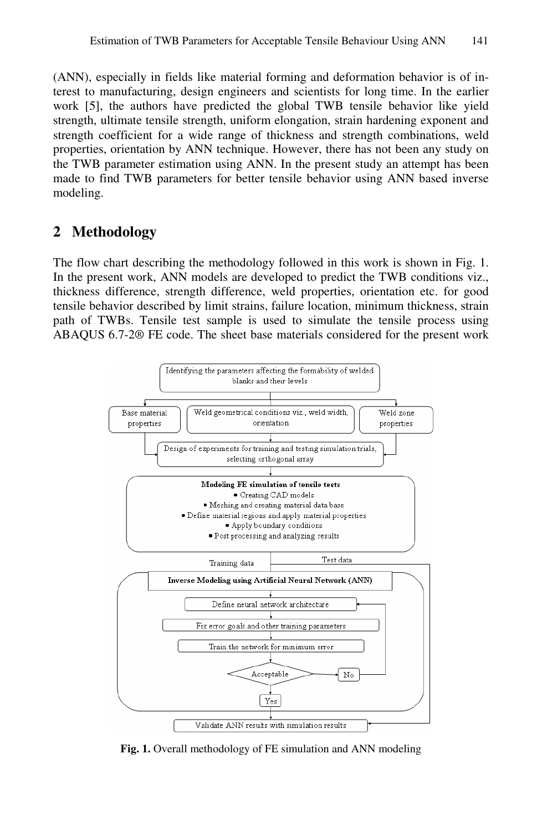(ANN), especially in fields like material forming and deformation behavior is of interest to manufacturing, design engineers and scientists for long time. In the earlier work [5], the authors have predicted the global TWB tensile behavior like yield strength, ultimate tensile strength, uniform elongation, strain hardening exponent and strength coefficient for a wide range of thickness and strength combinations, weld properties, orientation by ANN technique. However, there has not been any study on the TWB parameter estimation using ANN. In the present study an attempt has been made to find TWB parameters for better tensile behavior using ANN based inverse modeling.

## **2 Methodology**

The flow chart describing the methodology followed in this work is shown in Fig. 1. In the present work, ANN models are developed to predict the TWB conditions viz., thickness difference, strength difference, weld properties, orientation etc. for good tensile behavior described by limit strains, failure location, minimum thickness, strain path of TWBs. Tensile test sample is used to simulate the tensile process using ABAQUS 6.7-2® FE code. The sheet base materials considered for the present work



**Fig. 1.** Overall methodology of FE simulation and ANN modeling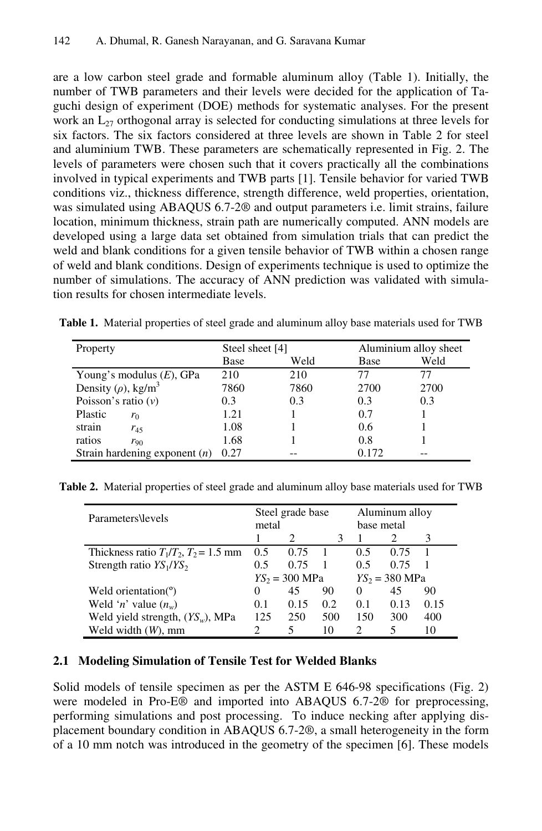are a low carbon steel grade and formable aluminum alloy (Table 1). Initially, the number of TWB parameters and their levels were decided for the application of Taguchi design of experiment (DOE) methods for systematic analyses. For the present work an  $L_{27}$  orthogonal array is selected for conducting simulations at three levels for six factors. The six factors considered at three levels are shown in Table 2 for steel and aluminium TWB. These parameters are schematically represented in Fig. 2. The levels of parameters were chosen such that it covers practically all the combinations involved in typical experiments and TWB parts [1]. Tensile behavior for varied TWB conditions viz., thickness difference, strength difference, weld properties, orientation, was simulated using ABAQUS 6.7-2® and output parameters i.e. limit strains, failure location, minimum thickness, strain path are numerically computed. ANN models are developed using a large data set obtained from simulation trials that can predict the weld and blank conditions for a given tensile behavior of TWB within a chosen range of weld and blank conditions. Design of experiments technique is used to optimize the number of simulations. The accuracy of ANN prediction was validated with simulation results for chosen intermediate levels.

| Property                              | Steel sheet [4] |      | Aluminium alloy sheet |      |  |
|---------------------------------------|-----------------|------|-----------------------|------|--|
|                                       | Base            | Weld | Base                  | Weld |  |
| Young's modulus $(E)$ , GPa           | 210             | 210  | 77                    | 77   |  |
| Density ( $\rho$ ), kg/m <sup>3</sup> | 7860            | 7860 | 2700                  | 2700 |  |
| Poisson's ratio $(v)$                 | 0.3             | 0.3  | 0.3                   | 0.3  |  |
| Plastic<br>$r_0$                      | 1.21            |      | 0.7                   |      |  |
| strain<br>$r_{45}$                    | 1.08            |      | 0.6                   |      |  |
| ratios<br>$r_{90}$                    | 1.68            |      | 0.8                   |      |  |
| Strain hardening exponent $(n)$       | 0.27            |      | 0.172                 |      |  |

**Table 1.** Material properties of steel grade and aluminum alloy base materials used for TWB

**Table 2.** Material properties of steel grade and aluminum alloy base materials used for TWB

| Parameters\levels                          | Steel grade base<br>metal |                               |     | Aluminum alloy<br>base metal |      |      |
|--------------------------------------------|---------------------------|-------------------------------|-----|------------------------------|------|------|
|                                            |                           | $\mathfrak{D}_{\mathfrak{p}}$ | 3   |                              | 2    | 3    |
| Thickness ratio $T_1/T_2$ , $T_2 = 1.5$ mm | 0.5                       | 0.75                          |     | 0.5                          | 0.75 |      |
| Strength ratio $YS_1/YS_2$                 | 0.5                       | 0.75                          |     | 0.5                          | 0.75 |      |
|                                            | $YS_2 = 300 \text{ MPa}$  |                               |     | $YS_2 = 380 \text{ MPa}$     |      |      |
| Weld orientation( $\degree$ )              | 0                         | 45                            | 90  | 0                            | 45   | 90   |
| Weld 'n' value $(n_w)$                     | 0.1                       | 0.15                          | 0.2 | 0.1                          | 0.13 | 0.15 |
| Weld yield strength, $(YS_w)$ , MPa        | 125                       | 250                           | 500 | 150                          | 300  | 400  |
| Weld width $(W)$ , mm                      | っ                         | 5                             | 10  | っ                            | 5    | 10   |

#### **2.1 Modeling Simulation of Tensile Test for Welded Blanks**

Solid models of tensile specimen as per the ASTM E 646-98 specifications (Fig. 2) were modeled in Pro-E® and imported into ABAQUS 6.7-2® for preprocessing, performing simulations and post processing. To induce necking after applying displacement boundary condition in ABAQUS 6.7-2®, a small heterogeneity in the form of a 10 mm notch was introduced in the geometry of the specimen [6]. These models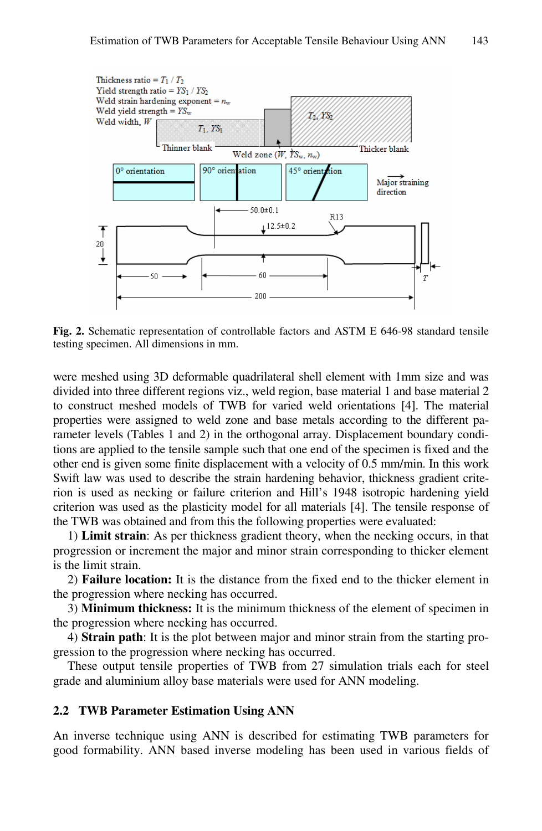

**Fig. 2.** Schematic representation of controllable factors and ASTM E 646-98 standard tensile testing specimen. All dimensions in mm.

were meshed using 3D deformable quadrilateral shell element with 1mm size and was divided into three different regions viz., weld region, base material 1 and base material 2 to construct meshed models of TWB for varied weld orientations [4]. The material properties were assigned to weld zone and base metals according to the different parameter levels (Tables 1 and 2) in the orthogonal array. Displacement boundary conditions are applied to the tensile sample such that one end of the specimen is fixed and the other end is given some finite displacement with a velocity of 0.5 mm/min. In this work Swift law was used to describe the strain hardening behavior, thickness gradient criterion is used as necking or failure criterion and Hill's 1948 isotropic hardening yield criterion was used as the plasticity model for all materials [4]. The tensile response of the TWB was obtained and from this the following properties were evaluated:

1) **Limit strain**: As per thickness gradient theory, when the necking occurs, in that progression or increment the major and minor strain corresponding to thicker element is the limit strain.

2) **Failure location:** It is the distance from the fixed end to the thicker element in the progression where necking has occurred.

3) **Minimum thickness:** It is the minimum thickness of the element of specimen in the progression where necking has occurred.

4) **Strain path**: It is the plot between major and minor strain from the starting progression to the progression where necking has occurred.

These output tensile properties of TWB from 27 simulation trials each for steel grade and aluminium alloy base materials were used for ANN modeling.

#### **2.2 TWB Parameter Estimation Using ANN**

An inverse technique using ANN is described for estimating TWB parameters for good formability. ANN based inverse modeling has been used in various fields of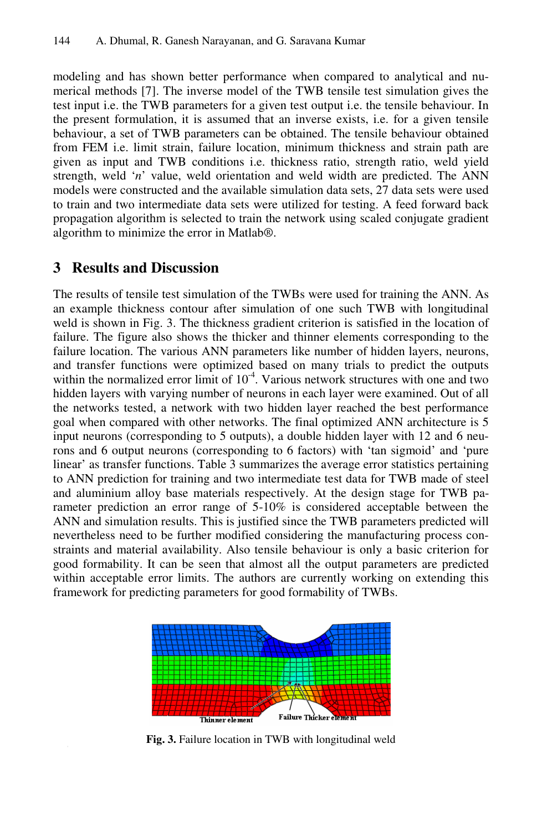modeling and has shown better performance when compared to analytical and numerical methods [7]. The inverse model of the TWB tensile test simulation gives the test input i.e. the TWB parameters for a given test output i.e. the tensile behaviour. In the present formulation, it is assumed that an inverse exists, i.e. for a given tensile behaviour, a set of TWB parameters can be obtained. The tensile behaviour obtained from FEM i.e. limit strain, failure location, minimum thickness and strain path are given as input and TWB conditions i.e. thickness ratio, strength ratio, weld yield strength, weld '*n*' value, weld orientation and weld width are predicted. The ANN models were constructed and the available simulation data sets, 27 data sets were used to train and two intermediate data sets were utilized for testing. A feed forward back propagation algorithm is selected to train the network using scaled conjugate gradient algorithm to minimize the error in Matlab®.

#### **3 Results and Discussion**

The results of tensile test simulation of the TWBs were used for training the ANN. As an example thickness contour after simulation of one such TWB with longitudinal weld is shown in Fig. 3. The thickness gradient criterion is satisfied in the location of failure. The figure also shows the thicker and thinner elements corresponding to the failure location. The various ANN parameters like number of hidden layers, neurons, and transfer functions were optimized based on many trials to predict the outputs within the normalized error limit of  $10^{-4}$ . Various network structures with one and two hidden layers with varying number of neurons in each layer were examined. Out of all the networks tested, a network with two hidden layer reached the best performance goal when compared with other networks. The final optimized ANN architecture is 5 input neurons (corresponding to 5 outputs), a double hidden layer with 12 and 6 neurons and 6 output neurons (corresponding to 6 factors) with 'tan sigmoid' and 'pure linear' as transfer functions. Table 3 summarizes the average error statistics pertaining to ANN prediction for training and two intermediate test data for TWB made of steel and aluminium alloy base materials respectively. At the design stage for TWB parameter prediction an error range of 5-10% is considered acceptable between the ANN and simulation results. This is justified since the TWB parameters predicted will nevertheless need to be further modified considering the manufacturing process constraints and material availability. Also tensile behaviour is only a basic criterion for good formability. It can be seen that almost all the output parameters are predicted within acceptable error limits. The authors are currently working on extending this framework for predicting parameters for good formability of TWBs.



**Fig. 3.** Failure location in TWB with longitudinal weld [